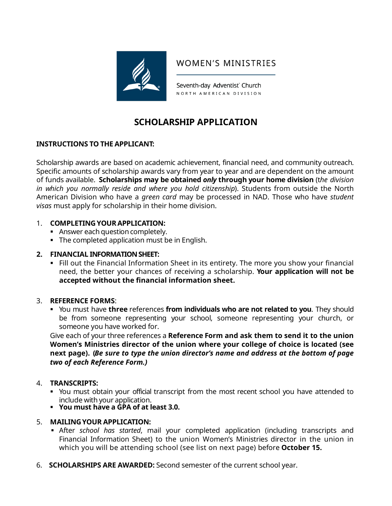

# **WOMEN'S MINISTRIES**

Seventh-day Adventist' Church NORTH AMERICAN DIVISION

# **SCHOLARSHIP APPLICATION**

# **INSTRUCTIONS TO THE APPLICANT:**

Scholarship awards are based on academic achievement, financial need, and community outreach. Specific amounts of scholarship awards vary from year to year and are dependent on the amount of funds available. **Scholarships may be obtained** *only* **through your home division** (t*he division in which you normally reside and where you hold citizenship*). Students from outside the North American Division who have a *green card* may be processed in NAD. Those who have *student visas* must apply for scholarship in their home division.

## 1. **COMPLETING YOURAPPLICATION:**

- Answer each question completely.
- The completed application must be in English.

# **2. FINANCIAL INFORMATION SHEET:**

 Fill out the Financial Information Sheet in its entirety. The more you show your financial need, the better your chances of receiving a scholarship. **Your application will not be accepted without the financial information sheet.**

## 3. **REFERENCE FORMS**:

 You must have **three** references **from individuals who are not related to you**. They should be from someone representing your school, someone representing your church, or someone you have worked for.

Give each of your three references a **Reference Form and ask them to send it to the union Women's Ministries director of the union where your college of choice is located (see next page). (***Be sure to type the union director's name and address at the bottom of page two of each Reference Form.)*

## 4. **TRANSCRIPTS:**

- You must obtain your official transcript from the most recent school you have attended to include with your application. **You must have a GPA of at least 3.0.**
- 

## 5. **MAILINGYOUR APPLICATION:**

- After *school has started*, mail your completed application (including transcripts and Financial Information Sheet) to the union Women's Ministries director in the union in which you will be attending school (see list on next page) before **October 15.**
- 6. **SCHOLARSHIPS ARE AWARDED:** Second semester of the current school year.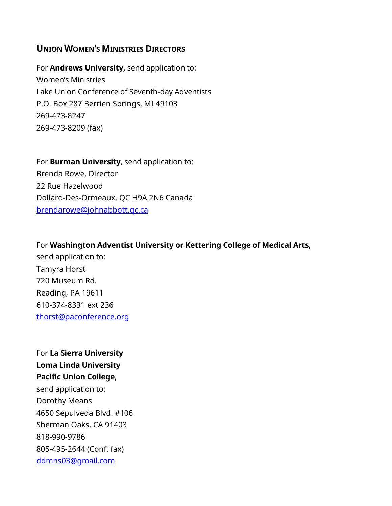# **UNION WOMEN'S MINISTRIES DIRECTORS**

For **Andrews University,** send application to: Women's Ministries Lake Union Conference of Seventh-day Adventists P.O. Box 287 Berrien Springs, MI 49103 269-473-8247 269-473-8209 (fax)

For **Burman University**, send application to: Brenda Rowe, Director 22 Rue Hazelwood Dollard-Des-Ormeaux, QC H9A 2N6 Canada [brendarowe@johnabbott.qc.ca](mailto:brendarowe@johnabbott.qc.ca)

# For **Washington Adventist University or Kettering College of Medical Arts,**

send application to: Tamyra Horst 720 Museum Rd. Reading, PA 19611 610-374-8331 ext 236 [thorst@paconference.org](mailto:thorst@paconference.org)

For **La Sierra University Loma Linda University Pacific Union College**, send application to: Dorothy Means 4650 Sepulveda Blvd. #106 Sherman Oaks, CA 91403 818-990-9786 805-495-2644 (Conf. fax) [ddmns03@gmail.com](mailto:ddmns03@gmail.com)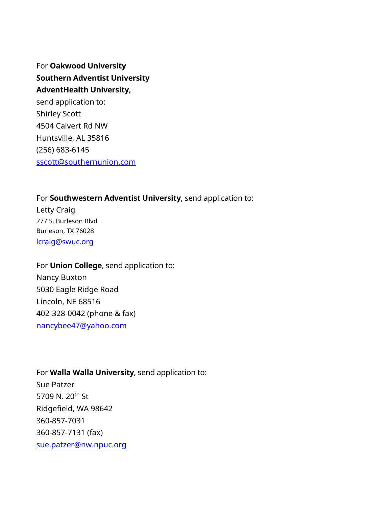For **Oakwood University Southern Adventist University AdventHealth University,** send application to: Shirley Scott 4504 Calvert Rd NW Huntsville, AL 35816 (256) 683-6145 [sscott@southernunion.com](mailto:sscott@southernunion.com)

# For **Southwestern Adventist University**, send application to:

Letty Craig 777 S. Burleson Blvd Burleson, TX 76028 lcraig@swuc.org

For **Union College**, send application to: Nancy Buxton 5030 Eagle Ridge Road Lincoln, NE 68516 402-328-0042 (phone & fax) [nancybee47@yahoo.com](mailto:nancybee47@yahoo.com)

For **Walla Walla University**, send application to: Sue Patzer 5709 N. 20<sup>th</sup> St Ridgefield, WA 98642 360-857-7031 360-857-7131 (fax) [sue.patzer@nw.npuc.org](mailto:sue.patzer@nw.npuc.org)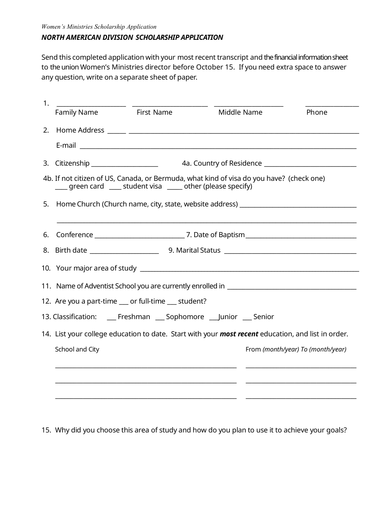### *NORTH AMERICAN DIVISION SCHOLARSHIP APPLICATION*

Send this completed application with your most recent transcript and the financial information sheet to the union Women's Ministries director before October 15. If you need extra space to answer any question, write on a separate sheet of paper.

| 1. | Family Name                                                                                               | First Name | Middle Name                                                                              | Phone                             |
|----|-----------------------------------------------------------------------------------------------------------|------------|------------------------------------------------------------------------------------------|-----------------------------------|
|    |                                                                                                           |            |                                                                                          |                                   |
|    |                                                                                                           |            |                                                                                          |                                   |
|    |                                                                                                           |            |                                                                                          |                                   |
|    | green card _____ student visa _____ other (please specify)                                                |            | 4b. If not citizen of US, Canada, or Bermuda, what kind of visa do you have? (check one) |                                   |
|    |                                                                                                           |            |                                                                                          |                                   |
|    |                                                                                                           |            |                                                                                          |                                   |
|    |                                                                                                           |            |                                                                                          |                                   |
|    |                                                                                                           |            |                                                                                          |                                   |
|    |                                                                                                           |            |                                                                                          |                                   |
|    | 12. Are you a part-time __ or full-time __ student?                                                       |            |                                                                                          |                                   |
|    |                                                                                                           |            | 13. Classification: _____ Freshman _____ Sophomore _____Junior _____ Senior              |                                   |
|    | 14. List your college education to date. Start with your <b>most recent</b> education, and list in order. |            |                                                                                          |                                   |
|    | School and City                                                                                           |            |                                                                                          | From (month/year) To (month/year) |
|    |                                                                                                           |            |                                                                                          |                                   |
|    |                                                                                                           |            |                                                                                          |                                   |
|    |                                                                                                           |            |                                                                                          |                                   |

15. Why did you choose this area of study and how do you plan to use it to achieve your goals?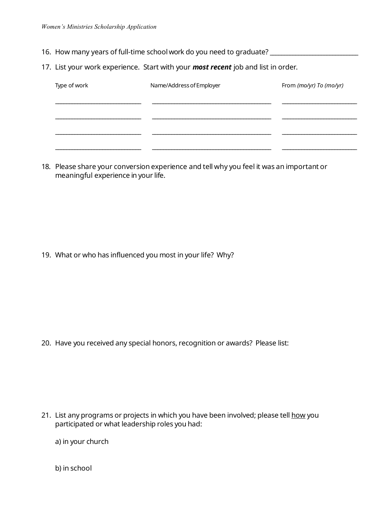- 16. How many years of full-time school work do you need to graduate? \_\_\_\_\_\_\_\_\_\_\_
- 17. List your work experience. Start with your *most recent* job and list in order.

| Type of work | Name/Address of Employer | From (mo/yr) To (mo/yr) |  |
|--------------|--------------------------|-------------------------|--|
|              |                          |                         |  |
|              |                          |                         |  |
|              |                          |                         |  |
|              |                          |                         |  |

18. Please share your conversion experience and tell why you feel it was an important or meaningful experience in your life.

19. What or who has influenced you most in your life? Why?

20. Have you received any special honors, recognition or awards? Please list:

21. List any programs or projects in which you have been involved; please tell how you participated or what leadership roles you had:

a) in your church

b) in school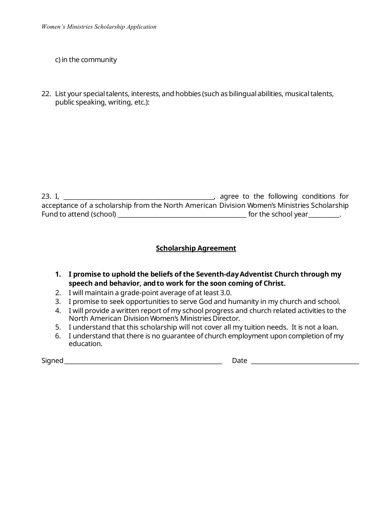c) in the community

22. List your special talents, interests, and hobbies (such as bilingual abilities, musical talents, public speaking, writing, etc.):

23. I, \_\_\_\_\_\_\_\_\_\_\_\_\_\_\_\_\_\_\_\_\_\_\_\_\_\_\_\_\_\_\_\_\_\_\_\_\_\_\_\_\_\_\_\_\_\_\_\_\_, agree to the following conditions for acceptance of a scholarship from the North American Division Women's Ministries Scholarship Fund to attend (school) \_\_\_\_\_\_\_\_\_\_\_\_\_\_\_\_\_\_\_\_\_\_\_\_\_\_\_\_\_\_\_\_\_\_\_\_\_\_\_\_\_\_ for the school year\_\_\_\_\_\_\_\_\_\_.

# **Scholarship Agreement**

- **1. I promise to uphold the beliefs of the Seventh-dayAdventist Church through my speech and behavior, andto work for the soon coming of Christ.**
- 2. I will maintain a grade-point average of at least 3.0.
- 3. I promise to seek opportunities to serve God and humanity in my church and school.
- 4. I will provide a written report of my school progress and church related activities to the North American Division Women's Ministries Director.
- 5. I understand that this scholarship will not cover all my tuition needs. It is not a loan.
- 6. I understand that there is no guarantee of church employment upon completion of my education.

Signed\_\_\_\_\_\_\_\_\_\_\_\_\_\_\_\_\_\_\_\_\_\_\_\_\_\_\_\_\_\_\_\_\_\_\_\_\_\_\_\_\_\_\_\_\_\_\_\_\_\_\_\_\_\_ Date \_\_\_\_\_\_\_\_\_\_\_\_\_\_\_\_\_\_\_\_\_\_\_\_\_\_\_\_\_\_\_\_\_\_\_\_\_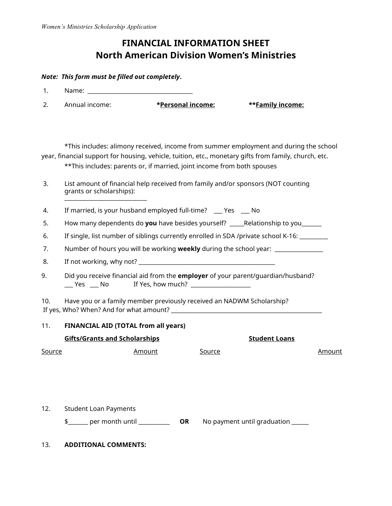# **FINANCIAL INFORMATION SHEET North American Division Women's Ministries**

#### *Note: This form must be filled out completely***.**

- 1. Name:
- 2. Annual income: **\*Personal income: \*\*Family income:**

\*This includes: alimony received, income from summer employment and during the school year, financial support for housing, vehicle, tuition, etc., monetary gifts from family, church, etc. \*\*This includes: parents or, if married, joint income from both spouses

- 3. List amount of financial help received from family and/or sponsors (NOT counting grants or scholarships): \_\_\_\_\_\_\_\_\_\_\_\_\_\_\_\_\_\_\_\_\_\_\_\_\_\_\_\_\_
- 4. If married, is your husband employed full-time? \_\_\_ Yes \_\_\_ No
- 5. How many dependents do **you** have besides yourself? \_\_\_\_\_Relationship to you\_\_\_\_\_\_\_
- 6. If single, list number of siblings currently enrolled in SDA /private school K-16:

7. Number of hours you will be working **weekly** during the school year: \_\_\_\_\_\_\_\_\_\_\_\_\_\_\_\_\_

- 8. If not working, why not?
- 9. Did you receive financial aid from the **employer** of your parent/guardian/husband? \_\_\_ Yes \_\_\_ No If Yes, how much? \_\_\_\_\_\_\_\_\_\_\_\_\_\_\_\_\_\_\_\_

10. Have you or a family member previously received an NADWM Scholarship? If yes, Who? When? And for what amount? \_\_\_\_\_\_\_\_\_\_\_\_\_\_\_\_\_\_\_\_\_\_\_\_\_\_\_\_\_\_\_\_\_\_\_\_\_\_\_\_\_\_\_\_\_\_\_\_\_\_\_\_\_

#### 11. **FINANCIAL AID (TOTAL from all years)**

| <b>Gifts/Grants and Scholarships</b> |        | Student Loans |  |        |
|--------------------------------------|--------|---------------|--|--------|
| Source                               | Amount | Source        |  | Amount |

12. Student Loan Payments

\$\_\_\_\_\_\_\_ per month until \_\_\_\_\_\_\_\_\_\_\_ **OR** No payment until graduation \_\_\_\_\_\_

13. **ADDITIONAL COMMENTS:**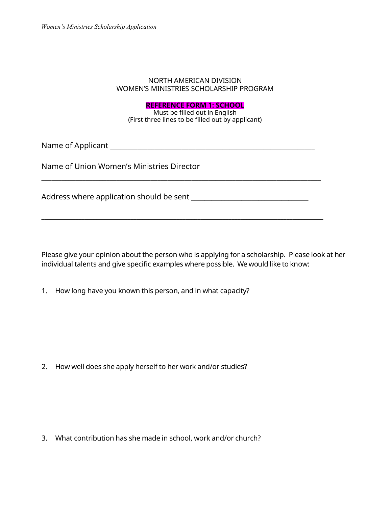#### NORTH AMERICAN DIVISION WOMEN'S MINISTRIES SCHOLARSHIP PROGRAM

## **REFERENCE FORM 1: SCHOOL**

Must be filled out in English (First three lines to be filled out by applicant)

\_\_\_\_\_\_\_\_\_\_\_\_\_\_\_\_\_\_\_\_\_\_\_\_\_\_\_\_\_\_\_\_\_\_\_\_\_\_\_\_\_\_\_\_\_\_\_\_\_\_\_\_\_\_\_\_\_\_\_\_\_\_\_\_\_\_\_\_\_\_\_\_\_\_\_\_\_\_\_\_\_\_

\_\_\_\_\_\_\_\_\_\_\_\_\_\_\_\_\_\_\_\_\_\_\_\_\_\_\_\_\_\_\_\_\_\_\_\_\_\_\_\_\_\_\_\_\_\_\_\_\_\_\_\_\_\_\_\_\_\_\_\_\_\_\_\_\_\_\_\_\_\_\_\_\_\_\_\_\_\_\_\_\_\_\_\_\_\_\_\_\_\_\_\_

Name of Applicant \_\_\_\_\_\_\_\_\_\_\_\_\_\_\_\_\_\_\_\_\_\_\_\_\_\_\_\_\_\_\_\_\_\_\_\_\_\_\_\_\_\_\_\_\_\_\_\_\_\_\_\_\_\_\_\_\_\_\_\_

Name of Union Women's Ministries Director

Address where application should be sent **with all and the sent** of the sent of the sense of the sense of the sense

Please give your opinion about the person who is applying for a scholarship. Please look at her individual talents and give specific examples where possible. We would like to know:

1. How long have you known this person, and in what capacity?

2. How well does she apply herself to her work and/or studies?

3. What contribution has she made in school, work and/or church?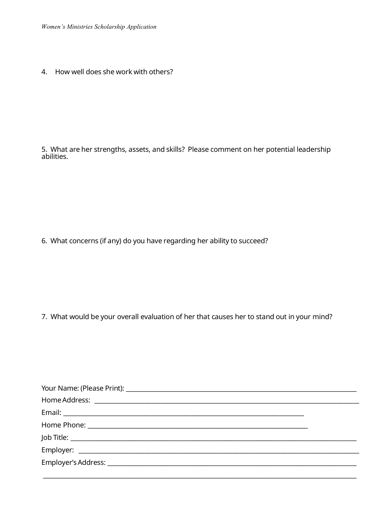4. How well does she work with others?

5. What are her strengths, assets, and skills? Please comment on her potential leadership abilities.

6. What concerns (if any) do you have regarding her ability to succeed?

7. What would be your overall evaluation of her that causes her to stand out in your mind?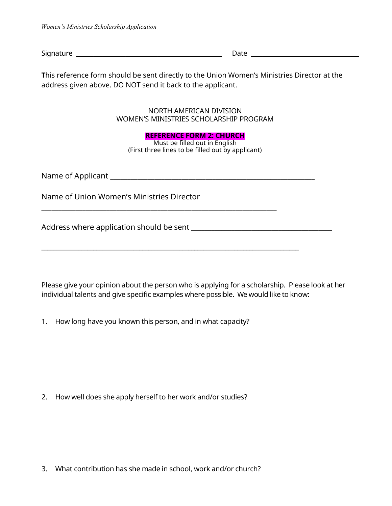Signature \_\_\_\_\_\_\_\_\_\_\_\_\_\_\_\_\_\_\_\_\_\_\_\_\_\_\_\_\_\_\_\_\_\_\_\_\_\_\_\_\_\_\_\_\_\_\_\_\_\_ Date \_\_\_\_\_\_\_\_\_\_\_\_\_\_\_\_\_\_\_\_\_\_\_\_\_\_\_\_\_\_\_\_\_\_\_\_\_

**T**his reference form should be sent directly to the Union Women's Ministries Director at the address given above. DO NOT send it back to the applicant.

### NORTH AMERICAN DIVISION WOMEN'S MINISTRIES SCHOLARSHIP PROGRAM

#### **REFERENCE FORM 2: CHURCH**

Must be filled out in English (First three lines to be filled out by applicant)

Name of Applicant \_\_\_\_\_\_\_\_\_\_\_\_\_\_\_\_\_\_\_\_\_\_\_\_\_\_\_\_\_\_\_\_\_\_\_\_\_\_\_\_\_\_\_\_\_\_\_\_\_\_\_\_\_\_\_\_\_\_\_\_

Name of Union Women's Ministries Director

Address where application should be sent \_\_\_\_\_\_\_\_\_\_\_\_\_\_\_\_\_\_\_\_\_\_\_\_\_\_\_\_\_\_\_\_\_\_\_\_\_\_\_\_\_\_

Please give your opinion about the person who is applying for a scholarship. Please look at her individual talents and give specific examples where possible. We would like to know:

1. How long have you known this person, and in what capacity?

\_\_\_\_\_\_\_\_\_\_\_\_\_\_\_\_\_\_\_\_\_\_\_\_\_\_\_\_\_\_\_\_\_\_\_\_\_\_\_\_\_\_\_\_\_\_\_\_\_\_\_\_\_\_\_\_\_\_\_\_\_\_\_\_\_\_\_\_\_

\_\_\_\_\_\_\_\_\_\_\_\_\_\_\_\_\_\_\_\_\_\_\_\_\_\_\_\_\_\_\_\_\_\_\_\_\_\_\_\_\_\_\_\_\_\_\_\_\_\_\_\_\_\_\_\_\_\_\_\_\_\_\_\_\_\_\_\_\_\_\_\_\_\_\_\_\_\_\_\_\_\_\_\_

2. How well does she apply herself to her work and/or studies?

3. What contribution has she made in school, work and/or church?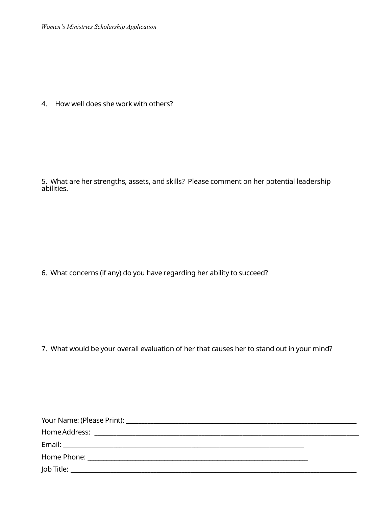4. How well does she work with others?

5. What are her strengths, assets, and skills? Please comment on her potential leadership abilities.

6. What concerns (if any) do you have regarding her ability to succeed?

7. What would be your overall evaluation of her that causes her to stand out in your mind?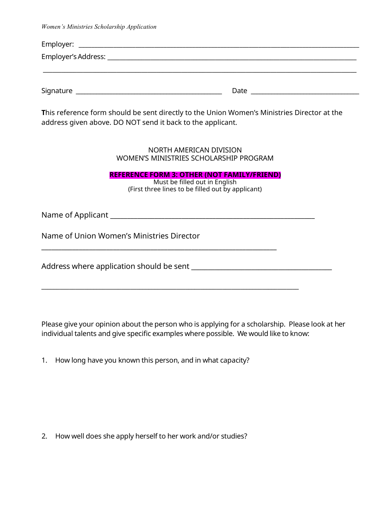| Employer's Address: _ |      |  |  |
|-----------------------|------|--|--|
|                       |      |  |  |
|                       |      |  |  |
| Signature             | Date |  |  |

**T**his reference form should be sent directly to the Union Women's Ministries Director at the address given above. DO NOT send it back to the applicant.

> NORTH AMERICAN DIVISION WOMEN'S MINISTRIES SCHOLARSHIP PROGRAM

**REFERENCE FORM 3: OTHER (NOT FAMILY/FRIEND)**

Must be filled out in English (First three lines to be filled out by applicant)

Name of Applicant \_\_\_\_\_\_\_\_\_\_\_\_\_\_\_\_\_\_\_\_\_\_\_\_\_\_\_\_\_\_\_\_\_\_\_\_\_\_\_\_\_\_\_\_\_\_\_\_\_\_\_\_\_\_\_\_\_\_\_\_

Name of Union Women's Ministries Director

Address where application should be sent \_\_\_\_\_\_\_\_\_\_\_\_\_\_\_\_\_\_\_\_\_\_\_\_\_\_\_\_\_\_\_\_\_\_\_\_\_\_\_\_\_\_

Please give your opinion about the person who is applying for a scholarship. Please look at her individual talents and give specific examples where possible. We would like to know:

1. How long have you known this person, and in what capacity?

\_\_\_\_\_\_\_\_\_\_\_\_\_\_\_\_\_\_\_\_\_\_\_\_\_\_\_\_\_\_\_\_\_\_\_\_\_\_\_\_\_\_\_\_\_\_\_\_\_\_\_\_\_\_\_\_\_\_\_\_\_\_\_\_\_\_\_\_\_

\_\_\_\_\_\_\_\_\_\_\_\_\_\_\_\_\_\_\_\_\_\_\_\_\_\_\_\_\_\_\_\_\_\_\_\_\_\_\_\_\_\_\_\_\_\_\_\_\_\_\_\_\_\_\_\_\_\_\_\_\_\_\_\_\_\_\_\_\_\_\_\_\_\_\_\_\_\_\_\_\_\_\_\_

2. How well does she apply herself to her work and/or studies?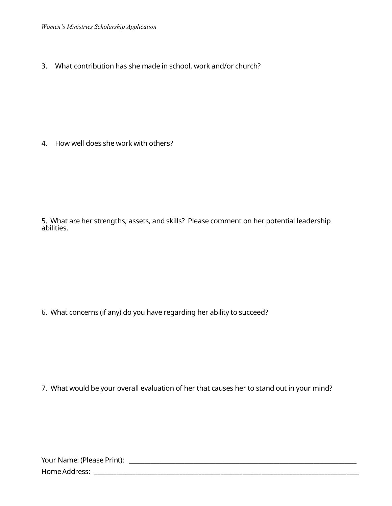3. What contribution has she made in school, work and/or church?

4. How well does she work with others?

5. What are her strengths, assets, and skills? Please comment on her potential leadership abilities.

6. What concerns (if any) do you have regarding her ability to succeed?

7. What would be your overall evaluation of her that causes her to stand out in your mind?

| Your Name: (Please Print): |  |
|----------------------------|--|
| Home Address:              |  |